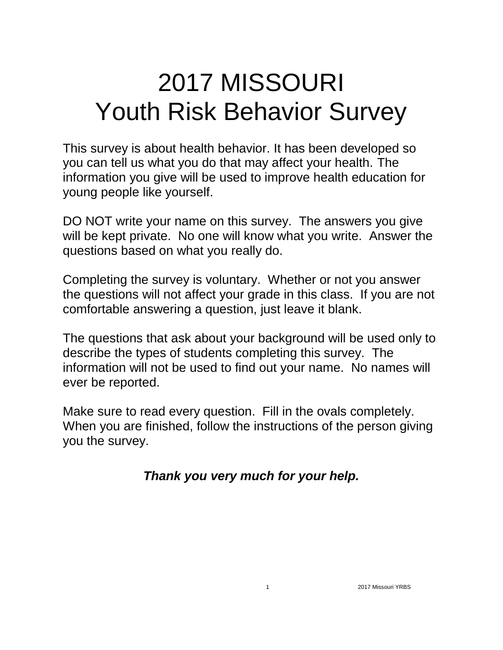# 2017 MISSOURI Youth Risk Behavior Survey

This survey is about health behavior. It has been developed so you can tell us what you do that may affect your health. The information you give will be used to improve health education for young people like yourself.

DO NOT write your name on this survey. The answers you give will be kept private. No one will know what you write. Answer the questions based on what you really do.

Completing the survey is voluntary. Whether or not you answer the questions will not affect your grade in this class. If you are not comfortable answering a question, just leave it blank.

The questions that ask about your background will be used only to describe the types of students completing this survey. The information will not be used to find out your name. No names will ever be reported.

Make sure to read every question. Fill in the ovals completely. When you are finished, follow the instructions of the person giving you the survey.

*Thank you very much for your help.*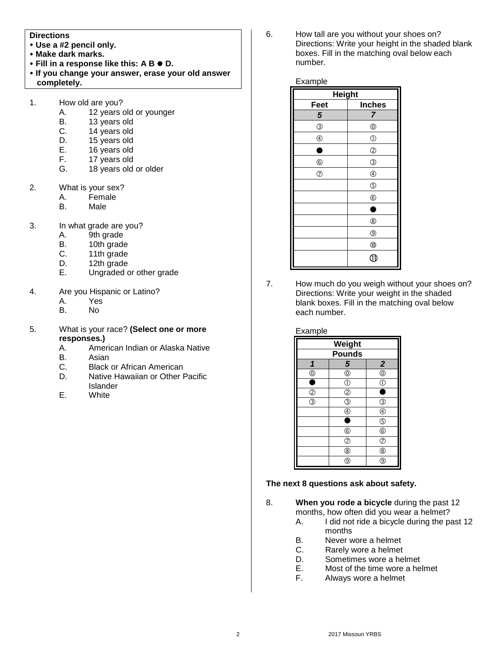#### **Directions**

- **Use a #2 pencil only.**
- **Make dark marks.**
- **Fill in a response like this: A B**  $\bullet$  **D.**
- **If you change your answer, erase your old answer completely.**
- 1. How old are you?
	- A. 12 years old or younger
	- B. 13 years old
	- C. 14 years old
	- D. 15 years old
	- E. 16 years old
	- F. 17 years old
	- G. 18 years old or older
- 2. What is your sex?
	- A. Female
	- B. Male
- 3. In what grade are you?
	- A. 9th grade
	- B. 10th grade
	- C. 11th grade<br>D. 12th grade
	- 12th grade
	- E. Ungraded or other grade
- 4. Are you Hispanic or Latino?
	- A. Yes
	- B. No
- 5. What is your race? **(Select one or more responses.)**
	- A. American Indian or Alaska Native
	- B. Asian
	- C. Black or African American<br>D. Native Hawaiian or Other I
	- Native Hawaiian or Other Pacific Islander
	- E. White

6. How tall are you without your shoes on? Directions: Write your height in the shaded blank boxes. Fill in the matching oval below each number.

#### Example

| <b>Height</b>  |                |  |
|----------------|----------------|--|
| <b>Feet</b>    | <b>Inches</b>  |  |
| 5              | 7              |  |
| $\circledS$    | $^{\circledR}$ |  |
| $^{\circledR}$ | $\circled{0}$  |  |
| г              | $\circledS$    |  |
| $^{\circledR}$ | $\circledS$    |  |
| $^{\circ}$     | $\circledA$    |  |
|                | $\circledS$    |  |
|                | $^{\circ}$     |  |
|                |                |  |
|                | $^{\circledR}$ |  |
|                | $^{\circledR}$ |  |
|                | $^{\circledR}$ |  |
|                | R              |  |

7. How much do you weigh without your shoes on? Directions: Write your weight in the shaded blank boxes. Fill in the matching oval below each number.

#### Example

| <b>Weight</b>  |                         |                    |
|----------------|-------------------------|--------------------|
| <b>Pounds</b>  |                         |                    |
| 1              | 5                       | $\overline{2}$     |
| $^{\circledR}$ | $\overline{\mathbb{O}}$ | $\overline{\circ}$ |
| Е              | $\mathbb{O}$            | $\overline{0}$     |
| $^{\circledR}$ | $\overline{c}$          | C                  |
| ③              | T                       | G                  |
|                | E                       | $^{\circledR}$     |
|                |                         | $^\circledS$       |
|                | $\circledast$           | $\circledS$        |
|                | $\overline{c}$          | $\overline{c}$     |
|                | $^{\circledR}$          | $^{\circledR}$     |
|                | T                       | Э                  |

#### **The next 8 questions ask about safety.**

8. **When you rode a bicycle** during the past 12 months, how often did you wear a helmet?

- A. I did not ride a bicycle during the past 12 months
- B. Never wore a helmet
- C. Rarely wore a helmet
- D. Sometimes wore a helmet
- E. Most of the time wore a helmet
- F. Always wore a helmet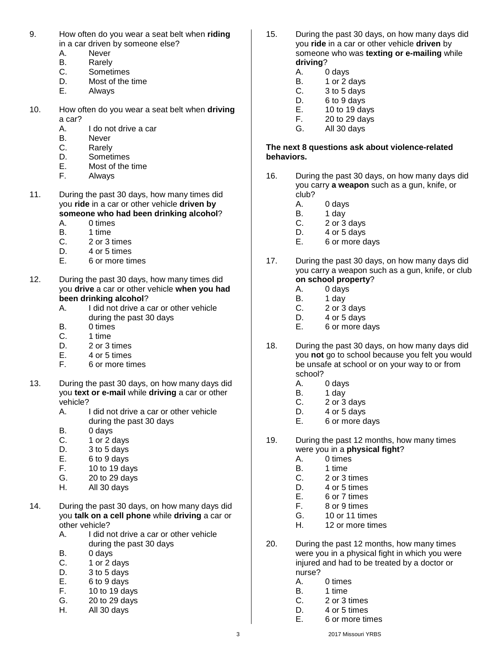- 9. How often do you wear a seat belt when **riding**  in a car driven by someone else?
	- A. Never
	- B. Rarely
	- C. Sometimes
	- D. Most of the time
	- E. Always
- 10. How often do you wear a seat belt when **driving**  a car?
	- A. I do not drive a car
	- B. Never
	- C. Rarely
	- D. Sometimes
	- E. Most of the time
	- F. Always
- 11. During the past 30 days, how many times did you **ride** in a car or other vehicle **driven by someone who had been drinking alcohol**?
	- A. 0 times
	- B. 1 time
	- C. 2 or 3 times
	- D. 4 or 5 times
	- E. 6 or more times
- 12. During the past 30 days, how many times did you **drive** a car or other vehicle **when you had been drinking alcohol**?
	- A. I did not drive a car or other vehicle during the past 30 days
	- B. 0 times
	- C. 1 time
	- D. 2 or 3 times
	- E. 4 or 5 times
	- F. 6 or more times
- 13. During the past 30 days, on how many days did you **text or e-mail** while **driving** a car or other vehicle?
	- A. I did not drive a car or other vehicle during the past 30 days
	- B. 0 days
	- C. 1 or 2 days
	- D. 3 to 5 days
	- E. 6 to 9 days
	- F. 10 to 19 days
	- G. 20 to 29 days
	- H. All 30 days
- 14. During the past 30 days, on how many days did you **talk on a cell phone** while **driving** a car or other vehicle?
	- A. I did not drive a car or other vehicle during the past 30 days
	- B. 0 days
	- C. 1 or 2 days
	- D. 3 to 5 days
	- E. 6 to 9 days
	- F. 10 to 19 days
	- G. 20 to 29 days
	- H. All 30 days
- 15. During the past 30 days, on how many days did you **ride** in a car or other vehicle **driven** by someone who was **texting or e-mailing** while **driving**?
	- A. 0 days
	- B. 1 or 2 days
	- C. 3 to 5 days
	- D. 6 to 9 days
	- E. 10 to 19 days
	- F. 20 to 29 days
	- G. All 30 days

# **The next 8 questions ask about violence-related behaviors.**

- 16. During the past 30 days, on how many days did you carry **a weapon** such as a gun, knife, or club?
	- A. 0 days
	- B. 1 day
	- C. 2 or 3 days
	- D. 4 or 5 days
	- E. 6 or more days
- 17. During the past 30 days, on how many days did you carry a weapon such as a gun, knife, or club **on school property**?
	- A. 0 days
	- B. 1 day
	- C. 2 or 3 days
	- D. 4 or 5 days
	- E. 6 or more days
- 18. During the past 30 days, on how many days did you **not** go to school because you felt you would be unsafe at school or on your way to or from school?
	- A. 0 days
	- B. 1 day
	- C. 2 or 3 days
	- D. 4 or 5 days
	- E. 6 or more days
- 19. During the past 12 months, how many times were you in a **physical fight**?
	- A. 0 times
	- B. 1 time
	- C. 2 or 3 times
	- D. 4 or 5 times
	- E. 6 or 7 times<br>F. 8 or 9 times
	- 8 or 9 times
	- G. 10 or 11 times
	- H. 12 or more times
- 20. During the past 12 months, how many times were you in a physical fight in which you were injured and had to be treated by a doctor or nurse?
	- A. 0 times
	- B. 1 time
	- C. 2 or 3 times
	- D. 4 or 5 times
	- E. 6 or more times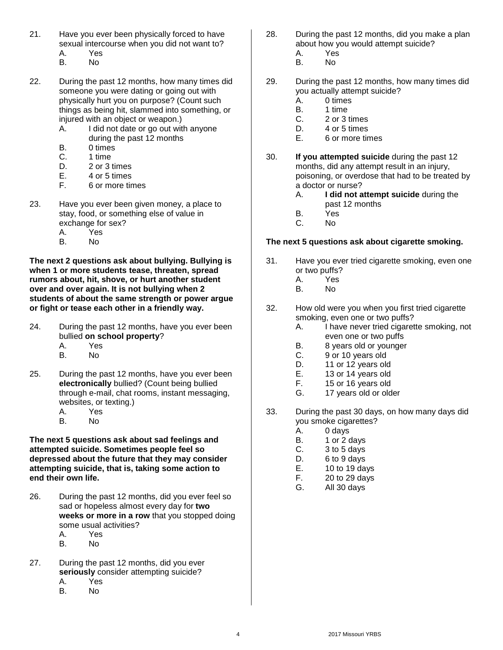- 21. Have you ever been physically forced to have sexual intercourse when you did not want to? A. Yes
	- B. No
- 22. During the past 12 months, how many times did someone you were dating or going out with physically hurt you on purpose? (Count such things as being hit, slammed into something, or injured with an object or weapon.)
	- A. I did not date or go out with anyone during the past 12 months
	- B. 0 times
	- C. 1 time
	- D. 2 or 3 times
	- E. 4 or 5 times
	- F. 6 or more times
- 23. Have you ever been given money, a place to stay, food, or something else of value in exchange for sex?
	- A. Yes
	- B. No

**The next 2 questions ask about bullying. Bullying is when 1 or more students tease, threaten, spread rumors about, hit, shove, or hurt another student over and over again. It is not bullying when 2 students of about the same strength or power argue or fight or tease each other in a friendly way.**

- 24. During the past 12 months, have you ever been bullied **on school property**? A. Yes
	- B. No
- 25. During the past 12 months, have you ever been **electronically** bullied? (Count being bullied through e-mail, chat rooms, instant messaging, websites, or texting.)
	- A. Yes
	- B. No

**The next 5 questions ask about sad feelings and attempted suicide. Sometimes people feel so depressed about the future that they may consider attempting suicide, that is, taking some action to end their own life.**

- 26. During the past 12 months, did you ever feel so sad or hopeless almost every day for **two weeks or more in a row** that you stopped doing some usual activities?
	- A. Yes
	- B. No
- 27. During the past 12 months, did you ever **seriously** consider attempting suicide?
	- A. Yes<br>B. No
	- B. No
- 28. During the past 12 months, did you make a plan about how you would attempt suicide?
	- A. Yes
	- B. No
- 29. During the past 12 months, how many times did you actually attempt suicide?
	- A. 0 times
	- B. 1 time<br>C. 2 or 3
	- 2 or 3 times
	- D. 4 or 5 times
	- E. 6 or more times
- 30. **If you attempted suicide** during the past 12 months, did any attempt result in an injury, poisoning, or overdose that had to be treated by a doctor or nurse?
	- A. **I did not attempt suicide** during the past 12 months
	- B. Yes
	- C. No

# **The next 5 questions ask about cigarette smoking.**

- 31. Have you ever tried cigarette smoking, even one or two puffs?
	- A. Yes
	- B. No
- 32. How old were you when you first tried cigarette smoking, even one or two puffs?
	- A. I have never tried cigarette smoking, not even one or two puffs
	- B. 8 years old or younger
	- C. 9 or 10 years old
	- D. 11 or 12 years old
	- E. 13 or 14 years old
	- F. 15 or 16 years old
	- G. 17 years old or older
- 33. During the past 30 days, on how many days did you smoke cigarettes?
	- A. 0 days
	- B. 1 or 2 days
	- C. 3 to 5 days
	- D. 6 to 9 days
	- E. 10 to 19 days
	- F. 20 to 29 days
	- G. All 30 days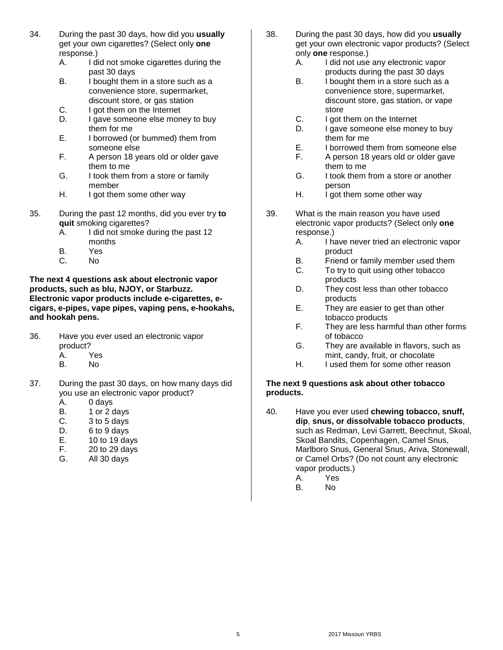- 34. During the past 30 days, how did you **usually** get your own cigarettes? (Select only **one** response.)
	- A. I did not smoke cigarettes during the past 30 days
	- B. I bought them in a store such as a convenience store, supermarket, discount store, or gas station
	- C. I got them on the Internet
	- D. I gave someone else money to buy them for me
	- E. I borrowed (or bummed) them from someone else
	- F. A person 18 years old or older gave them to me
	- G. I took them from a store or family member
	- H. I got them some other way
- 35. During the past 12 months, did you ever try **to quit** smoking cigarettes?
	- A. I did not smoke during the past 12 months
	- B. Yes
	- C. No

**The next 4 questions ask about electronic vapor products, such as blu, NJOY, or Starbuzz. Electronic vapor products include e-cigarettes, ecigars, e-pipes, vape pipes, vaping pens, e-hookahs, and hookah pens.**

- 36. Have you ever used an electronic vapor product?
	- A. Yes
	- B. No
- 37. During the past 30 days, on how many days did you use an electronic vapor product?
	- A. 0 days
	- B. 1 or 2 days
	- C. 3 to 5 days
	- D. 6 to 9 days
	- E. 10 to 19 days
	- F. 20 to 29 days
	- G. All 30 days
- 38. During the past 30 days, how did you **usually** get your own electronic vapor products? (Select only **one** response.)
	- A. I did not use any electronic vapor products during the past 30 days
	- B. I bought them in a store such as a convenience store, supermarket, discount store, gas station, or vape store
	- C. I got them on the Internet
	- D. I gave someone else money to buy them for me
	- E. I borrowed them from someone else
	- F. A person 18 years old or older gave them to me
	- G. I took them from a store or another person
	- H. I got them some other way
- 39. What is the main reason you have used electronic vapor products? (Select only **one** response.)
	- A. I have never tried an electronic vapor product
	- B. Friend or family member used them
	- C. To try to quit using other tobacco products
	- D. They cost less than other tobacco products
	- E. They are easier to get than other tobacco products
	- F. They are less harmful than other forms of tobacco
	- G. They are available in flavors, such as mint, candy, fruit, or chocolate
	- H. I used them for some other reason

#### **The next 9 questions ask about other tobacco products.**

- 40. Have you ever used **chewing tobacco, snuff, dip**, **snus, or dissolvable tobacco products**, such as Redman, Levi Garrett, Beechnut, Skoal, Skoal Bandits, Copenhagen, Camel Snus, Marlboro Snus, General Snus, Ariva, Stonewall, or Camel Orbs? (Do not count any electronic vapor products.)
	- A. Yes
	- No.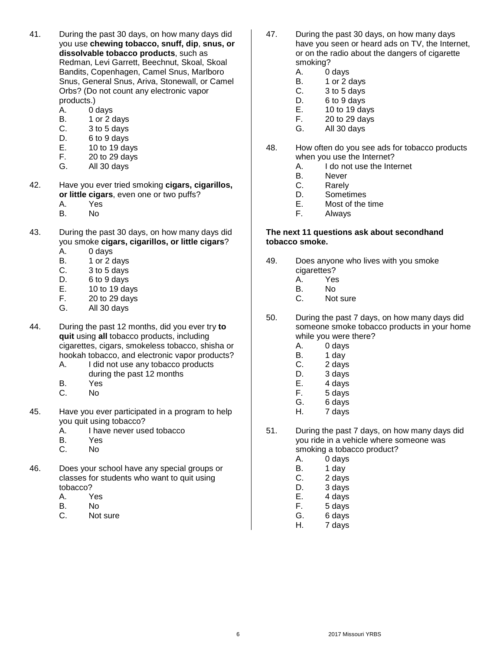- 41. During the past 30 days, on how many days did you use **chewing tobacco, snuff, dip**, **snus, or dissolvable tobacco products**, such as Redman, Levi Garrett, Beechnut, Skoal, Skoal Bandits, Copenhagen, Camel Snus, Marlboro Snus, General Snus, Ariva, Stonewall, or Camel Orbs? (Do not count any electronic vapor products.)
	- A. 0 days
	- B. 1 or 2 days
	- C. 3 to 5 days
	- D. 6 to 9 days
	- E. 10 to 19 days
	- F. 20 to 29 days
	- G. All 30 days
- 42. Have you ever tried smoking **cigars, cigarillos, or little cigars**, even one or two puffs?
	- A. Yes
	- B. No
- 43. During the past 30 days, on how many days did you smoke **cigars, cigarillos, or little cigars**?
	- A. 0 days
	- B. 1 or 2 days
	- C. 3 to 5 days
	- D. 6 to 9 days
	- E. 10 to 19 days
	- F. 20 to 29 days
	- G. All 30 days
- 44. During the past 12 months, did you ever try **to quit** using **all** tobacco products, including cigarettes, cigars, smokeless tobacco, shisha or hookah tobacco, and electronic vapor products?
	- A. I did not use any tobacco products during the past 12 months
	- B. Yes
	- C. No
- 45. Have you ever participated in a program to help you quit using tobacco?
	- A. I have never used tobacco
	- B. Yes
	- C. No
- 46. Does your school have any special groups or classes for students who want to quit using tobacco?
	- A. Yes
	- B. No
	- C. Not sure
- 47. During the past 30 days, on how many days have you seen or heard ads on TV, the Internet, or on the radio about the dangers of cigarette smoking?
	- A. 0 days
	- B. 1 or 2 days
	- C. 3 to 5 days
	- D. 6 to 9 days
	- E. 10 to 19 days
	- F. 20 to 29 days
	- G. All 30 days
- 48. How often do you see ads for tobacco products when you use the Internet?
	- A. I do not use the Internet
	- B. Never
	- C. Rarely
	- D. Sometimes
	- E. Most of the time
	- F. Always

#### **The next 11 questions ask about secondhand tobacco smoke.**

- 49. Does anyone who lives with you smoke cigarettes?
	- A. Yes
	- No.
	- C. Not sure
- 50. During the past 7 days, on how many days did someone smoke tobacco products in your home while you were there?
	- A. 0 days
	- B. 1 day
	- C. 2 days
	- D. 3 days
	- E. 4 days
	- F. 5 days<br>G. 6 days
	- G. 6 days
	- H. 7 days
- 51. During the past 7 days, on how many days did you ride in a vehicle where someone was smoking a tobacco product?
	- A. 0 days
	- B. 1 day
	- C. 2 days
	- D. 3 days
	- E. 4 days
	- F. 5 days
	- G. 6 days
	- H. 7 days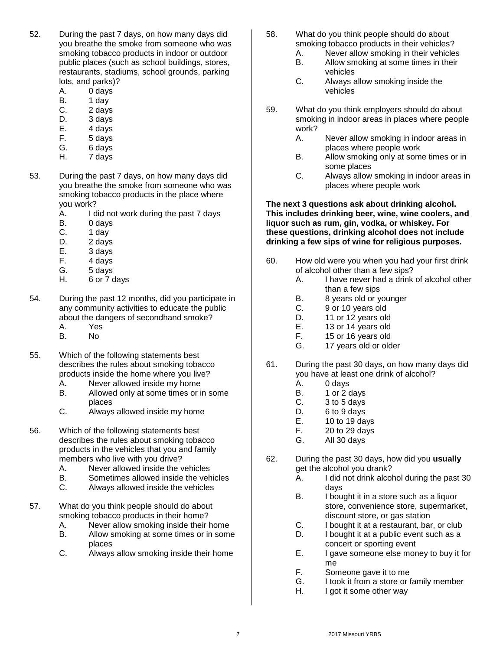- 52. During the past 7 days, on how many days did you breathe the smoke from someone who was smoking tobacco products in indoor or outdoor public places (such as school buildings, stores, restaurants, stadiums, school grounds, parking lots, and parks)?
	- A. 0 days
	- B. 1 day
	- C. 2 days
	- D. 3 days
	- E. 4 days
	- F. 5 days
	- G. 6 days
	- H. 7 days
- 53. During the past 7 days, on how many days did you breathe the smoke from someone who was smoking tobacco products in the place where you work?
	- A. I did not work during the past 7 days
	- B. 0 days
	- C. 1 day
	- D. 2 days
	- E. 3 days
	- F. 4 days
	- G. 5 days
	- H. 6 or 7 days
- 54. During the past 12 months, did you participate in any community activities to educate the public about the dangers of secondhand smoke?
	- A. Yes B. No
	-
- 55. Which of the following statements best describes the rules about smoking tobacco products inside the home where you live?
	- A. Never allowed inside my home<br>B. Allowed only at some times or in
	- Allowed only at some times or in some places
	- C. Always allowed inside my home
- 56. Which of the following statements best describes the rules about smoking tobacco products in the vehicles that you and family members who live with you drive?
	- A. Never allowed inside the vehicles
	- B. Sometimes allowed inside the vehicles
	- C. Always allowed inside the vehicles
- 57. What do you think people should do about smoking tobacco products in their home?
	- A. Never allow smoking inside their home
	- B. Allow smoking at some times or in some places
	- C. Always allow smoking inside their home
- 58. What do you think people should do about smoking tobacco products in their vehicles?
	- A. Never allow smoking in their vehicles
	- B. Allow smoking at some times in their vehicles
	- C. Always allow smoking inside the vehicles
- 59. What do you think employers should do about smoking in indoor areas in places where people work?
	- A. Never allow smoking in indoor areas in places where people work
	- B. Allow smoking only at some times or in some places
	- C. Always allow smoking in indoor areas in places where people work

#### **The next 3 questions ask about drinking alcohol. This includes drinking beer, wine, wine coolers, and liquor such as rum, gin, vodka, or whiskey. For these questions, drinking alcohol does not include drinking a few sips of wine for religious purposes.**

- 60. How old were you when you had your first drink of alcohol other than a few sips?
	- A. I have never had a drink of alcohol other than a few sips
	- B. 8 years old or younger
	- C. 9 or 10 years old
	- D. 11 or 12 years old
	- E. 13 or 14 years old
	- F. 15 or 16 years old
	- G. 17 years old or older
- 61. During the past 30 days, on how many days did you have at least one drink of alcohol?
	- A. 0 days
	- B. 1 or 2 days
	- C. 3 to 5 days
	- D. 6 to 9 days
	- E. 10 to 19 days
	- F. 20 to 29 days
	- G. All 30 days
- 62. During the past 30 days, how did you **usually** get the alcohol you drank?
	- A. I did not drink alcohol during the past 30 days
	- B. I bought it in a store such as a liquor store, convenience store, supermarket, discount store, or gas station
	- C. I bought it at a restaurant, bar, or club
	- D. I bought it at a public event such as a concert or sporting event
	- E. I gave someone else money to buy it for me
	- F. Someone gave it to me
	- G. I took it from a store or family member
	- H. I got it some other way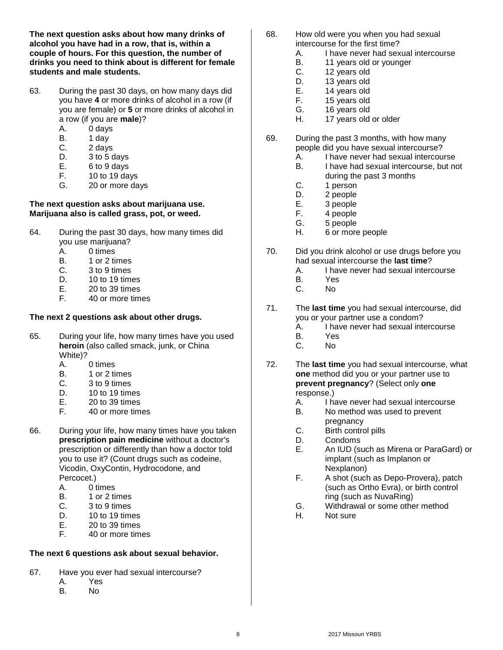**The next question asks about how many drinks of alcohol you have had in a row, that is, within a couple of hours. For this question, the number of drinks you need to think about is different for female students and male students.**

- 63. During the past 30 days, on how many days did you have **4** or more drinks of alcohol in a row (if you are female) or **5** or more drinks of alcohol in a row (if you are **male**)?
	- A. 0 days
	- B. 1 day
	- C. 2 days
	- D. 3 to 5 days
	- E. 6 to 9 days
	- F. 10 to 19 days
	- G. 20 or more days

# **The next question asks about marijuana use. Marijuana also is called grass, pot, or weed.**

- 64. During the past 30 days, how many times did you use marijuana?
	- A. 0 times
	- B. 1 or 2 times
	- C. 3 to 9 times
	- D. 10 to 19 times
	- E. 20 to 39 times
	- F. 40 or more times

# **The next 2 questions ask about other drugs.**

- 65. During your life, how many times have you used **heroin** (also called smack, junk, or China White)?
	- A. 0 times
	- B. 1 or 2 times
	-
	- C.  $3 \text{ to } 9 \text{ times}$ <br>D.  $10 \text{ to } 19 \text{ time}$
	- D. 10 to 19 times<br>E. 20 to 39 times 20 to 39 times
	- F. 40 or more times
- 66. During your life, how many times have you taken **prescription pain medicine** without a doctor's prescription or differently than how a doctor told you to use it? (Count drugs such as codeine, Vicodin, OxyContin, Hydrocodone, and Percocet.)
	- A. 0 times
	- B. 1 or 2 times<br>C. 3 to 9 times
	- 3 to 9 times
	- D. 10 to 19 times
	- E. 20 to 39 times
	- F. 40 or more times

# **The next 6 questions ask about sexual behavior.**

- 67. Have you ever had sexual intercourse?
	- A. Yes<br>B. No
	- B. No
- 68. How old were you when you had sexual intercourse for the first time?
	- A. I have never had sexual intercourse
	- B. 11 years old or younger
	- C. 12 years old<br>D. 13 years old
	- D. 13 years old<br>E. 14 years old
		- 14 years old
	- F. 15 years old
	- G. 16 years old
	- H. 17 years old or older
- 69. During the past 3 months, with how many people did you have sexual intercourse?
	- A. I have never had sexual intercourse
	- B. I have had sexual intercourse, but not during the past 3 months
	- C. 1 person
	- D. 2 people
	- E. 3 people
	- F. 4 people
	- G. 5 people
	- H. 6 or more people
- 70. Did you drink alcohol or use drugs before you had sexual intercourse the **last time**?
	- A. I have never had sexual intercourse
	- B. Yes
	- C. No
- 71. The **last time** you had sexual intercourse, did you or your partner use a condom?
	- A. I have never had sexual intercourse
	- B. Yes
	- C. No
- 72. The **last time** you had sexual intercourse, what **one** method did you or your partner use to **prevent pregnancy**? (Select only **one**  response.)
	- A. I have never had sexual intercourse
	- B. No method was used to prevent pregnancy
	- C. Birth control pills
	- D. Condoms
	- E. An IUD (such as Mirena or ParaGard) or implant (such as Implanon or Nexplanon)
	- F. A shot (such as Depo-Provera), patch (such as Ortho Evra), or birth control ring (such as NuvaRing)
	- G. Withdrawal or some other method
	- H. Not sure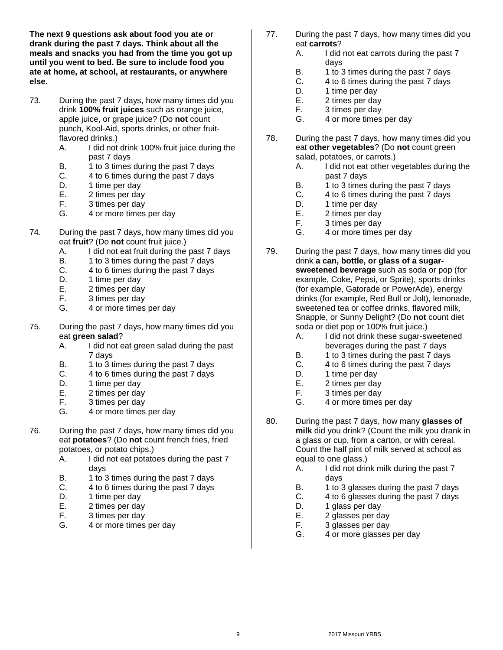**The next 9 questions ask about food you ate or drank during the past 7 days. Think about all the meals and snacks you had from the time you got up until you went to bed. Be sure to include food you ate at home, at school, at restaurants, or anywhere else.**

- 73. During the past 7 days, how many times did you drink **100% fruit juices** such as orange juice, apple juice, or grape juice? (Do **not** count punch, Kool-Aid, sports drinks, or other fruitflavored drinks.)
	- A. I did not drink 100% fruit juice during the past 7 days
	- B. 1 to 3 times during the past 7 days
	- C. 4 to 6 times during the past 7 days
	- D. 1 time per day
	- E. 2 times per day
	- F. 3 times per day
	- G. 4 or more times per day
- 74. During the past 7 days, how many times did you eat **fruit**? (Do **not** count fruit juice.)
	- A. I did not eat fruit during the past 7 days
	- B. 1 to 3 times during the past 7 days
	- C. 4 to 6 times during the past 7 days
	- D. 1 time per day
	- E. 2 times per day
	- F. 3 times per day
	- G. 4 or more times per day
- 75. During the past 7 days, how many times did you eat **green salad**?
	- A. I did not eat green salad during the past 7 days
	- B. 1 to 3 times during the past 7 days
	- C. 4 to 6 times during the past 7 days
	- D. 1 time per day
	-
	- E. 2 times per day<br>F. 3 times per day 3 times per day
	- G. 4 or more times per day
- 76. During the past 7 days, how many times did you eat **potatoes**? (Do **not** count french fries, fried potatoes, or potato chips.)
	- A. I did not eat potatoes during the past 7 days
	- B. 1 to 3 times during the past 7 days
	- C. 4 to 6 times during the past 7 days
	- D. 1 time per day<br>E. 2 times per day
	- E. 2 times per day<br>F. 3 times per day
	- 3 times per day
	- G. 4 or more times per day
- 77. During the past 7 days, how many times did you eat **carrots**?
	- A. I did not eat carrots during the past 7 days
	- B. 1 to 3 times during the past 7 days<br>C. 4 to 6 times during the past 7 days
	- 4 to 6 times during the past 7 days
	- D. 1 time per day
	- E. 2 times per day
	- F. 3 times per day
	- G. 4 or more times per day
- 78. During the past 7 days, how many times did you eat **other vegetables**? (Do **not** count green salad, potatoes, or carrots.)
	- A. I did not eat other vegetables during the past 7 days
	- B. 1 to 3 times during the past 7 days
	- C. 4 to 6 times during the past 7 days
	- D. 1 time per day
	- E. 2 times per day
	- F. 3 times per day
	- G. 4 or more times per day
- 79. During the past 7 days, how many times did you drink **a can, bottle, or glass of a sugarsweetened beverage** such as soda or pop (for example, Coke, Pepsi, or Sprite), sports drinks (for example, Gatorade or PowerAde), energy drinks (for example, Red Bull or Jolt), lemonade, sweetened tea or coffee drinks, flavored milk, Snapple, or Sunny Delight? (Do **not** count diet soda or diet pop or 100% fruit juice.)
	- A. I did not drink these sugar-sweetened beverages during the past 7 days
	- B. 1 to 3 times during the past 7 days
	- C. 4 to 6 times during the past 7 days
	- D. 1 time per day
	- E. 2 times per day
	- F. 3 times per day
	- G. 4 or more times per day
- 80. During the past 7 days, how many **glasses of milk** did you drink? (Count the milk you drank in a glass or cup, from a carton, or with cereal. Count the half pint of milk served at school as equal to one glass.)
	- A. I did not drink milk during the past 7 days
	- B. 1 to 3 glasses during the past 7 days
	- C. 4 to 6 glasses during the past 7 days
	- D. 1 glass per day
	- E. 2 glasses per day
	- F. 3 glasses per day
	- G. 4 or more glasses per day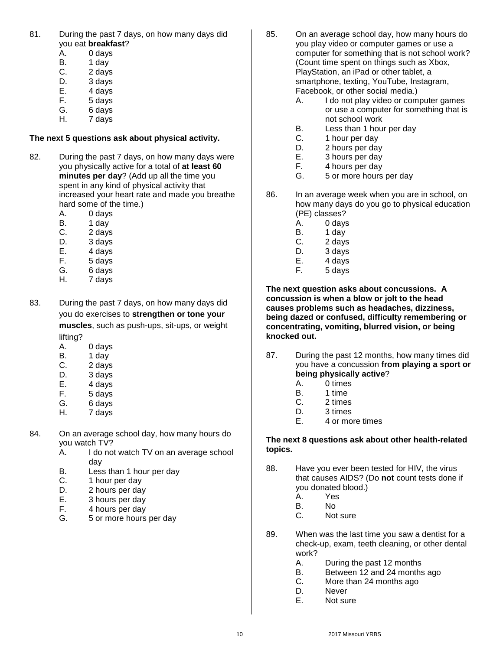- 81. During the past 7 days, on how many days did you eat **breakfast**?
	- A. 0 days
	- B. 1 day
	- C. 2 days<br>D. 3 days
	- 3 days
	- E. 4 days
	- F. 5 days
	- G. 6 days H. 7 days

# **The next 5 questions ask about physical activity.**

- 82. During the past 7 days, on how many days were you physically active for a total of **at least 60 minutes per day**? (Add up all the time you spent in any kind of physical activity that increased your heart rate and made you breathe hard some of the time.)
	- A. 0 days
	- B. 1 day
	- C. 2 days
	- D. 3 days
	- E. 4 days
	- F. 5 days
	- G. 6 days
	- H. 7 days
- 83. During the past 7 days, on how many days did you do exercises to **strengthen or tone your muscles**, such as push-ups, sit-ups, or weight lifting?
	- A. 0 days
	- B. 1 day
	- C. 2 days
	- D. 3 days
	- E. 4 days<br>F. 5 days
	- 5 days
	- G. 6 days
	- H. 7 days
- 84. On an average school day, how many hours do you watch TV?
	- A. I do not watch TV on an average school day
	- B. Less than 1 hour per day
	- C. 1 hour per day
	- D. 2 hours per day
	- E. 3 hours per day
	- F. 4 hours per day
	- G. 5 or more hours per day
- 85. On an average school day, how many hours do you play video or computer games or use a computer for something that is not school work? (Count time spent on things such as Xbox, PlayStation, an iPad or other tablet, a smartphone, texting, YouTube, Instagram, Facebook, or other social media.)
	- A. I do not play video or computer games or use a computer for something that is not school work
	- B. Less than 1 hour per day
	- C. 1 hour per day
	- D. 2 hours per day
	- E. 3 hours per day
	- F. 4 hours per day
	- G. 5 or more hours per day
- 86. In an average week when you are in school, on how many days do you go to physical education (PE) classes?
	- A. 0 days
	- B. 1 day
	- C. 2 days
	- D. 3 days
	- E. 4 days
	- F. 5 days

**The next question asks about concussions. A concussion is when a blow or jolt to the head causes problems such as headaches, dizziness, being dazed or confused, difficulty remembering or concentrating, vomiting, blurred vision, or being knocked out.**

- 87. During the past 12 months, how many times did you have a concussion **from playing a sport or being physically active**?
	- A. 0 times
	- B. 1 time<br>C. 2 times
	- 2 times
	- D. 3 times
	- E. 4 or more times

# **The next 8 questions ask about other health-related topics.**

- 88. Have you ever been tested for HIV, the virus that causes AIDS? (Do **not** count tests done if you donated blood.)
	- A. Yes
	- B. No
	- C. Not sure
- 89. When was the last time you saw a dentist for a check-up, exam, teeth cleaning, or other dental work?
	- A. During the past 12 months
	- B. Between 12 and 24 months ago
	- C. More than 24 months ago
	- D. Never
	- E. Not sure